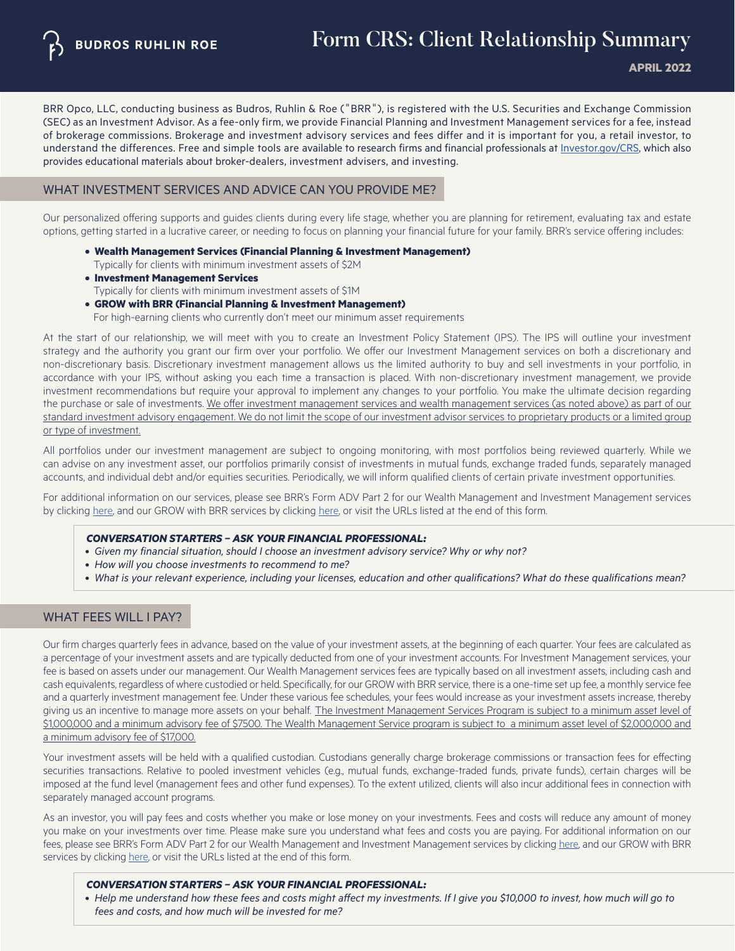BRR Opco, LLC, conducting business as Budros, Ruhlin & Roe ("BRR"), is registered with the U.S. Securities and Exchange Commission (SEC) as an Investment Advisor. As a fee-only firm, we provide Financial Planning and Investment Management services for a fee, instead of brokerage commissions. Brokerage and investment advisory services and fees differ and it is important for you, a retail investor, to understand the differences. Free and simple tools are available to research firms and financial professionals at [Investor.gov/CRS](http://Investor.gov/CRS), which also provides educational materials about broker-dealers, investment advisers, and investing.

## WHAT INVESTMENT SERVICES AND ADVICE CAN YOU PROVIDE ME?

Our personalized offering supports and guides clients during every life stage, whether you are planning for retirement, evaluating tax and estate options, getting started in a lucrative career, or needing to focus on planning your financial future for your family. BRR's service offering includes:

- **Wealth Management Services (Financial Planning & Investment Management)** Typically for clients with minimum investment assets of \$2M
- **Investment Management Services** Typically for clients with minimum investment assets of \$1M
- **GROW with BRR (Financial Planning & Investment Management)** For high-earning clients who currently don't meet our minimum asset requirements

At the start of our relationship, we will meet with you to create an Investment Policy Statement (IPS). The IPS will outline your investment strategy and the authority you grant our firm over your portfolio. We offer our Investment Management services on both a discretionary and non-discretionary basis. Discretionary investment management allows us the limited authority to buy and sell investments in your portfolio, in accordance with your IPS, without asking you each time a transaction is placed. With non-discretionary investment management, we provide investment recommendations but require your approval to implement any changes to your portfolio. You make the ultimate decision regarding the purchase or sale of investments. We offer investment management services and wealth management services (as noted above) as part of our standard investment advisory engagement. We do not limit the scope of our investment advisor services to proprietary products or a limited group or type of investment.

All portfolios under our investment management are subject to ongoing monitoring, with most portfolios being reviewed quarterly. While we can advise on any investment asset, our portfolios primarily consist of investments in mutual funds, exchange traded funds, separately managed accounts, and individual debt and/or equities securities. Periodically, we will inform qualified clients of certain private investment opportunities.

For additional information on our services, please see BRR's Form ADV Part 2 for our Wealth Management and Investment Management services by clicking [here,](#page-1-0) and our GROW with BRR services by clicking [here](https://growwithbrr.com/), or visit the URLs listed at the end of this form.

#### *CONVERSATION STARTERS – ASK YOUR FINANCIAL PROFESSIONAL:*

- *Given my financial situation, should I choose an investment advisory service? Why or why not?*
- *How will you choose investments to recommend to me?*
- *What is your relevant experience, including your licenses, education and other qualifications? What do these qualifications mean?*

# WHAT FEES WILL I PAY?

Our firm charges quarterly fees in advance, based on the value of your investment assets, at the beginning of each quarter. Your fees are calculated as a percentage of your investment assets and are typically deducted from one of your investment accounts. For Investment Management services, your fee is based on assets under our management. Our Wealth Management services fees are typically based on all investment assets, including cash and cash equivalents, regardless of where custodied or held. Specifically, for our GROW with BRR service, there is a one-time set up fee, a monthly service fee and a quarterly investment management fee. Under these various fee schedules, your fees would increase as your investment assets increase, thereby giving us an incentive to manage more assets on your behalf. The Investment Management Services Program is subject to a minimum asset level of \$1,000,000 and a minimum advisory fee of \$7500. The Wealth Management Service program is subject to a minimum asset level of \$2,000,000 and a minimum advisory fee of \$17,000.

Your investment assets will be held with a qualified custodian. Custodians generally charge brokerage commissions or transaction fees for effecting securities transactions. Relative to pooled investment vehicles (e.g., mutual funds, exchange-traded funds, private funds), certain charges will be imposed at the fund level (management fees and other fund expenses). To the extent utilized, clients will also incur additional fees in connection with separately managed account programs.

As an investor, you will pay fees and costs whether you make or lose money on your investments. Fees and costs will reduce any amount of money you make on your investments over time. Please make sure you understand what fees and costs you are paying. For additional information on our fees, please see BRR's Form ADV Part 2 for our Wealth Management and Investment Management services by clicking [here](https://www.b-r-r.com/), and our GROW with BRR services by clicking [here](https://growwithbrr.com/
 ), or visit the URLs listed at the end of this form.

#### *CONVERSATION STARTERS – ASK YOUR FINANCIAL PROFESSIONAL:*

• Help me understand how these fees and costs might affect my investments. If I give you \$10,000 to invest, how much will go to  *fees and costs, and how much will be invested for me?*